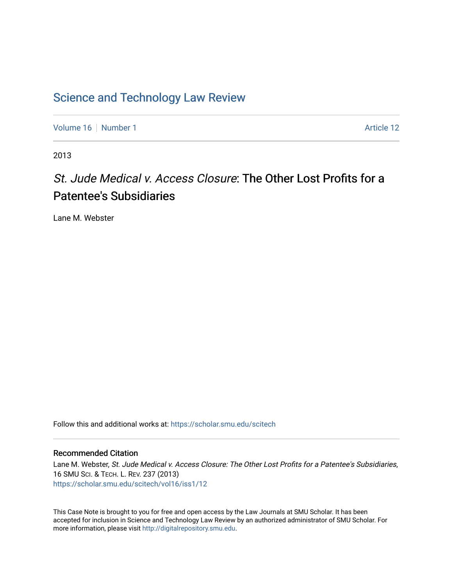## [Science and Technology Law Review](https://scholar.smu.edu/scitech)

[Volume 16](https://scholar.smu.edu/scitech/vol16) [Number 1](https://scholar.smu.edu/scitech/vol16/iss1) Article 12

2013

# St. Jude Medical v. Access Closure: The Other Lost Profits for a Patentee's Subsidiaries

Lane M. Webster

Follow this and additional works at: [https://scholar.smu.edu/scitech](https://scholar.smu.edu/scitech?utm_source=scholar.smu.edu%2Fscitech%2Fvol16%2Fiss1%2F12&utm_medium=PDF&utm_campaign=PDFCoverPages) 

#### Recommended Citation

Lane M. Webster, St. Jude Medical v. Access Closure: The Other Lost Profits for a Patentee's Subsidiaries, 16 SMU SCI. & TECH. L. REV. 237 (2013) [https://scholar.smu.edu/scitech/vol16/iss1/12](https://scholar.smu.edu/scitech/vol16/iss1/12?utm_source=scholar.smu.edu%2Fscitech%2Fvol16%2Fiss1%2F12&utm_medium=PDF&utm_campaign=PDFCoverPages)

This Case Note is brought to you for free and open access by the Law Journals at SMU Scholar. It has been accepted for inclusion in Science and Technology Law Review by an authorized administrator of SMU Scholar. For more information, please visit [http://digitalrepository.smu.edu](http://digitalrepository.smu.edu/).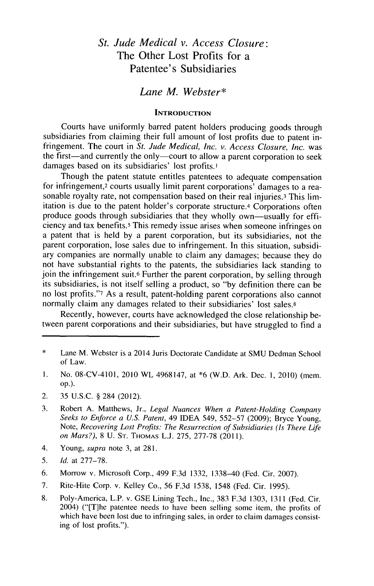### *St. Jude Medical v. Access Closure:* The Other Lost Profits for a Patentee's Subsidiaries

#### *Lane M. Webster\**

#### **INTRODUCTION**

Courts have uniformly barred patent holders producing goods through subsidiaries from claiming their full amount of lost profits due to patent infringement. The court in *St.* Jude *Medical, Inc. v. Access Closure, Inc.* was the first—and currently the only—court to allow a parent corporation to seek damages based on its subsidiaries' lost profits.<sup>1</sup>

Though the patent statute entitles patentees to adequate compensation for infringement,<sup>2</sup> courts usually limit parent corporations' damages to a reasonable royalty rate, not compensation based on their real injuries.3 This **lim**itation is due to the patent holder's corporate structure. 4 Corporations often produce goods through subsidiaries that they wholly own-usually for efficiency and tax benefits.5 This remedy issue arises when someone infringes on a patent that is held **by** a parent corporation, but its subsidiaries, not the parent corporation, lose sales due to infringement. In this situation, subsidiary companies are normally unable to claim any damages; because they **do** not have substantial rights to the patents, the subsidiaries lack standing to join the infringement suit.6 Further the parent corporation, **by** selling through its subsidiaries, is not itself selling a product, so **"by** definition there can be no lost profits."7 As a result, patent-holding parent corporations also cannot normally claim any damages related to their subsidiaries' lost sales.<sup>8</sup>

Recently, however, courts have acknowledged the close relationship between parent corporations and their subsidiaries, but have struggled to find a

- **1.** No. 08-CV-4101, 2010 WL 4968147, at **\*6** (W.D. Ark. Dec. **1,** 2010) (mem. **op.).**
- 2. **35 U.S.C. §** 284 (2012).
- **3.** Robert **A.** Matthews, Jr., *Legal Nuances When a Patent-Holding Company Seeks to Enforce a U.S. Patent,* 49 **IDEA** 549, **552-57 (2009);** Bryce Young, *Note, Recovering Lost Profits: The Resurrection of Subsidiaries (Is There Life on Mars?),* **8 U. ST. THOMAS L.J. 275, 277-78 (2011).**
- 4. Young, *supra* note **3,** at **281.**
- *5. Id.* at **277-78.**
- **6.** Morrow v. Microsoft Corp., 499 **F.3d 1332, 1338-40** (Fed. Cir. **2007).**
- **7.** Rite-Hite Corp. v. Kelley Co., **56 F.3d** *1538,* 1548 (Fed. Cir. **1995).**
- **8.** Poly-America, L.P. v. **GSE** Lining Tech., Inc., **383 F.3d 1303, 1311 (Fed. Cir.** 2004) ("[T]he patentee needs to have been selling some item, the profits of which have been lost due to infringing sales, in order to claim damages consisting of lost profits.").

<sup>\*</sup> Lane M. Webster is a 2014 Juris Doctorate Candidate at **SMU** Dedman School of Law.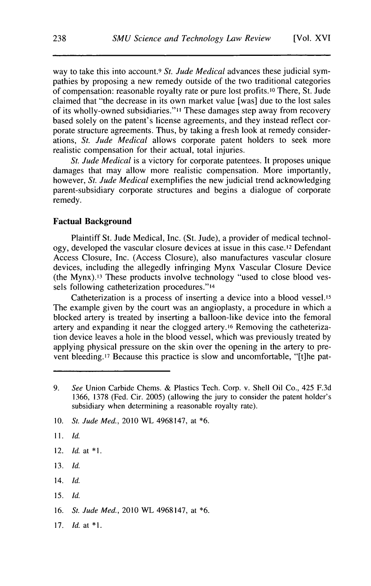way to take this into account.<sup>9</sup> St. Jude Medical advances these judicial sympathies **by** proposing a new remedy outside of the two traditional categories of compensation: reasonable royalty rate or pure lost profits.io There, St. Jude claimed that "the decrease in its own market value [was] due to the lost sales of its wholly-owned subsidiaries."I These damages step away from recovery based solely on the patent's license agreements, and they instead reflect corporate structure agreements. Thus, **by** taking a fresh look at remedy considerations, *St. Jude Medical* allows corporate patent holders to seek more realistic compensation for their actual, total injuries.

*St. Jude Medical* is a victory for corporate patentees. It proposes unique damages that may allow more realistic compensation. More importantly, however, *St. Jude Medical* exemplifies the new judicial trend acknowledging parent-subsidiary corporate structures and begins a dialogue of corporate remedy.

#### **Factual Background**

**Plaintiff St. Jude** Medical, Inc. (St. Jude), a provider of medical technology, developed the vascular closure devices at issue in this case.12 Defendant Access Closure, Inc. (Access Closure), also manufactures vascular closure devices, including the allegedly infringing Mynx Vascular Closure Device (the Mynx).13 These products involve technology "used to close blood vessels following catheterization procedures."14

Catheterization is a process of inserting a device into a blood vessel.15 The example given **by** the court was an angioplasty, a procedure in which a blocked artery is treated **by** inserting a balloon-like device into the femoral artery and expanding it near the clogged artery.16 Removing the catheterization device leaves a hole in the blood vessel, which was previously treated **by** applying physical pressure on the skin over the opening in the artery to prevent bleeding.17 Because this practice is slow and uncomfortable, "[t]he pat-

- **11.** *Id.*
- 12. *Id.* at **\*1.**
- **13.** *Id.*
- 14. *Id.*
- **15.** *Id.*

**16.** *St. Jude Med.,* 2010 WL 4968147, at **\*6.**

**17.** *Id.* at **\*1.**

**<sup>9.</sup>** *See* Union Carbide Chems. **&** Plastics Tech. Corp. v. Shell Oil Co., 425 **F.3d 1366, 1378** (Fed. Cir. **2005)** (allowing the jury to consider the patent holder's subsidiary when determining a reasonable royalty rate).

**<sup>10.</sup>** *St. Jude Med.,* 2010 WL 4968147, at **\*6.**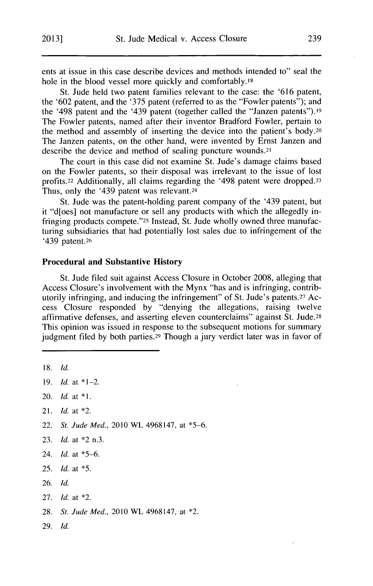ents at issue in this case describe devices and methods intended to" seal the hole in the blood vessel more quickly and comfortably.18

St. Jude held two patent families relevant to the case: the **'616** patent, the **'602** patent, and the **'375** patent (referred to as the "Fowler patents"); and the '498 patent and the '439 patent (together called the "Janzen patents").19 The Fowler patents, named after their inventor Bradford Fowler, pertain to the method and assembly of inserting the device into the patient's body.20 The Janzen patents, on the other hand, were invented **by** Ernst Janzen and describe the device and method of sealing puncture wounds.21

The court in this case did not examine St. Jude's damage claims based on the Fowler patents, so their disposal was irrelevant to the issue of lost profits.22 Additionally, all claims regarding the '498 patent were dropped.23 Thus, only the '439 patent was relevant.<sup>24</sup>

St. Jude was the patent-holding parent company of the '439 patent, but it "d[oes] not manufacture or sell any products with which the allegedly infringing products compete."25 Instead, St. Jude wholly owned three manufacturing subsidiaries that had potentially lost sales due to infringement of the '439 patent.<sup>26</sup>

#### **Procedural and Substantive History**

St. Jude **filed** suit against Access Closure in October **2008,** alleging that Access Closure's involvement with the Mynx "has and is infringing, contributorily infringing, and inducing the infringement" of St. Jude's patents. 27 Access Closure responded **by** "denying the allegations, raising twelve affirmative defenses, and asserting eleven counterclaims" against St. Jude. 28 This opinion was issued in response to the subsequent motions for summary judgment filed **by** both parties.29 Though a jury verdict later was in favor of

**18.** *Id.*

**19.** *Id.* at \*1-2.

21. *Id.* at \*2.

22. *St. Jude Med.,* 2010 WL 4968147, at **\*5-6.**

- **23.** *Id.* at \*2 n.3.
- 24. *Id.* at **\*5-6.**
- **25.** *Id.* at *\*5.*
- **26.** *Id.*
- **27.** *Id.* at \*2.
- **28.** *St. Jude Med., 2010* WL 4968147, at \*2.
- **29.** *Id.*

<sup>20.</sup> *Id.* at **\*1.**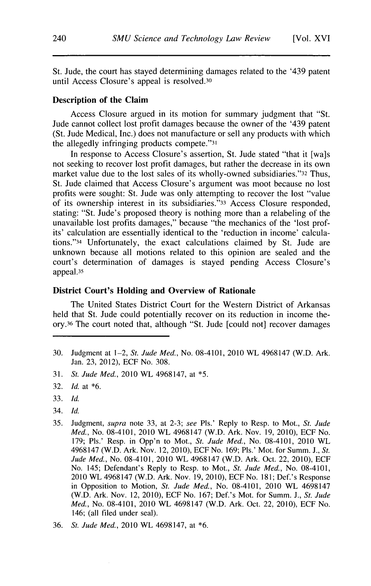St. Jude, the court has stayed determining damages related to the '439 patent until Access Closure's appeal is resolved.30

#### **Description of the Claim**

Access Closure argued in its motion for summary judgment that "St. Jude cannot collect lost profit damages because the owner of the '439 patent (St. Jude Medical, Inc.) does not manufacture or sell any products with which the allegedly infringing products compete."31

In response to Access Closure's assertion, St. Jude stated "that it [wa]s not seeking to recover lost profit damages, but rather the decrease in its own market value due to the lost sales of its wholly-owned subsidiaries."32 Thus, St. Jude claimed that Access Closure's argument was moot because no lost profits were sought: St. Jude was only attempting to recover the lost "value of its ownership interest in its subsidiaries."33 Access Closure responded, stating: "St. Jude's proposed theory is nothing more than a relabeling of the unavailable lost profits damages," because "the mechanics of the 'lost profits' calculation are essentially identical to the 'reduction in income' calculations."34 Unfortunately, the exact calculations claimed **by** St. Jude are unknown because all motions related to this opinion are sealed and the court's determination of damages is stayed pending Access Closure's appeal.35

#### **District Court's Holding and Overview of Rationale**

The United States District Court **for** the Western District of Arkansas held that St. Jude could potentially recover on its reduction in income theory. 36 The court noted that, although "St. Jude [could not] recover damages

- **31.** *St. Jude Med.,* 2010 WL 4968147, at **\*5.**
- **32.** *Id.* at **\*6.**
- **33.** *Id.*
- 34. *Id.*
- **35.** Judgment, *supra* note **33,** at **2-3;** *see* Pis.' Reply to Resp. to Mot., *St. Jude Med.,* No. 08-4101, 2010 WL 4968147 (W.D. Ark. Nov. **19, 2010), ECF** No. **179;** Pis.' Resp. in Opp'n to Mot., *St. Jude Med.,* No. 08-4101, 2010 WL 4968147 (W.D. Ark. Nov. 12, **2010), ECF** No. **169;** Pis.' Mot. for Summ. **J.,** *St. Jude Med.,* No. 08-4101, **2010** WL 4968147 (W.D. Ark. Oct. 22, **2010), ECF** No. 145; Defendant's Reply to Resp. to Mot., *St. Jude Med.,* No. 08-4101, **2010** WL 4968147 (W.D. Ark. Nov. **19, 2010), ECF** No. **181;** Def.'s Response in Opposition to Motion, *St. Jude Med.,* No. 08-4101, 2010 WL 4698147 (W.D. Ark. Nov. 12, **2010), ECF** No. **167;** Def.'s Mot. for Summ. **J.,** *St. Jude Med.,* No. 08-4101, **2010** WL 4698147 (W.D. Ark. Oct. 22, **2010), ECF** No. 146; (all filed under seal).
- **36.** *St. Jude Med.,* 2010 WL 4698147, at **\*6.**

**<sup>30.</sup>** Judgment at 1-2, *St. Jude Med.,* No. 08-4101, 2010 WL 4968147 (W.D. Ark. Jan. **23,** 2012), **ECF** No. **308.**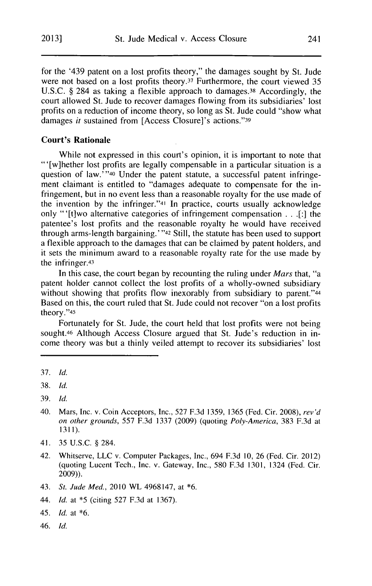for the '439 patent on a lost profits theory," the damages sought **by** St. Jude were not based on a lost profits theory.37 Furthermore, the court viewed **35 U.S.C. §** 284 as taking a flexible approach to damages.38 Accordingly, the court allowed St. Jude to recover damages flowing from its subsidiaries' lost profits on a reduction of income theory, so long as St. Jude could "show what damages *it* sustained from [Access Closure]'s actions."39

#### **Court's Rationale**

While not expressed in this court's opinion, it is important to note that "'[w]hether lost profits are legally compensable in a particular situation is a question of law.<sup>'</sup> "40 Under the patent statute, a successful patent infringement claimant is entitled to "damages adequate to compensate for the infringement, but in no event less than a reasonable royalty for the use made of the invention **by** the infringer."41 In practice, courts usually acknowledge only "'[t]wo alternative categories of infringement compensation **. . .[:]** the patentee's lost profits and the reasonable royalty he would have received through arms-length bargaining.' **"42** Still, the statute has been used to support a flexible approach to the damages that can be claimed **by** patent holders, and it sets the minimum award to a reasonable royalty rate for the use made **by** the infringer.43

In this case, the court began **by** recounting the ruling under *Mars* that, "a patent holder cannot collect the lost profits of a wholly-owned subsidiary without showing that profits flow inexorably from subsidiary to parent."44 Based on this, the court ruled that St. Jude could not recover "on a lost profits theory."45

Fortunately for St. Jude, the court held that lost profits were not being sought.<sup>46</sup> Although Access Closure argued that St. Jude's reduction in income theory was but a thinly veiled attempt to recover its subsidiaries' lost

40. Mars, Inc. v. Coin Acceptors, Inc., **527 F.3d 1359, 1365** (Fed. Cir. **2008),** *rev'd on other grounds, 557* **F.3d 1337 (2009)** (quoting *Poly-America,* **383 F.3d** at **1311).**

- 42. Whitserve, **LLC** v. Computer Packages, Inc., 694 **F.3d 10, 26** (Fed. Cir. 2012) (quoting Lucent Tech., Inc. v. Gateway, Inc., **580 F.3d 1301,** 1324 (Fed. Cir. **2009)).**
- 43. *St. Jude Med.,* 2010 WL 4968147, at **\*6.**
- 44. *Id. at* **\*5** (citing **527 F.3d** at **1367).**
- 45. *Id.* at **\*6.**
- 46. *Id.*

**<sup>37.</sup>** *Id.*

**<sup>38.</sup>** *Id.*

**<sup>39.</sup>** *Id.*

<sup>41.</sup> **35 U.S.C. §** 284.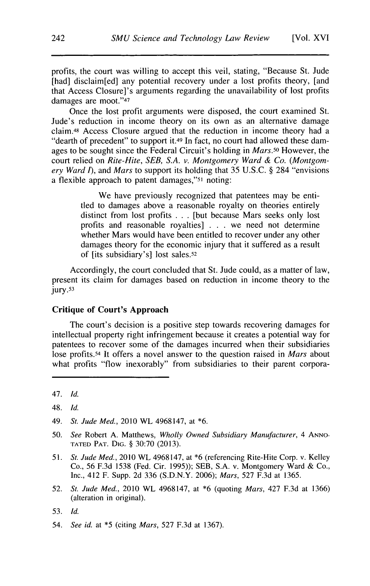profits, the court was willing to accept this veil, stating, "Because St. Jude [had] disclaim[ed] any potential recovery under a lost profits theory, [and that Access Closure]'s arguments regarding the unavailability of lost profits damages are moot."47

Once the lost profit arguments were disposed, the court examined St. Jude's reduction in income theory on its own as an alternative damage claim.48 Access Closure argued that the reduction in income theory had a "dearth of precedent" to support it.<sup>49</sup> In fact, no court had allowed these damages to be sought since the Federal Circuit's holding in *Mars.50* However, the court relied on *Rite-Hite, SEB, S.A. v. Montgomery Ward & Co. (Montgomery Ward I), and Mars* to support its holding that *35* **U.S.C. §** 284 "envisions a flexible approach to patent damages,"51 noting:

> We have previously recognized that patentees may be entitled to damages above a reasonable royalty on theories entirely distinct from lost profits **. . .** [but because Mars seeks only lost profits and reasonable royalties] **. . .** we need not determine whether Mars would have been entitled to recover under any other damages theory for the economic injury that it suffered as a result of [its subsidiary's] lost sales.52

Accordingly, the court concluded that St. Jude could, as a matter of law, present its claim for damages based on reduction in income theory to the jury.53

#### **Critique of Court's Approach**

The court's decision is a positive step towards recovering damages for intellectual property right infringement because it creates a potential way for patentees to recover some of the damages incurred when their subsidiaries lose profits.54 It offers a novel answer to the question raised in *Mars* about what profits "flow inexorably" from subsidiaries to their parent corpora-

- **50.** *See* **Robert A.** Matthews, *Wholly Owned Subsidiary Manufacturer,* 4 **ANNO-TATED PAT. DIG. § 30:70 (2013).**
- *51. St. Jude Med.,* 2010 WL 4968147, at **\*6** (referencing Rite-Hite Corp. v. Kelley Co., **56 F.3d 1538** (Fed. Cir. **1995)); SEB, S.A.** v. Montgomery Ward **&** Co., Inc., 412 F. Supp. **2d 336 (S.D.N.Y. 2006);** *Mars,* **527 F.3d** at **1365.**
- **52.** *St. Jude Med.,* 2010 WL 4968147, at **\*6** (quoting *Mars,* 427 **F.3d** at **1366)** (alteration in original).

54. *See id.* at **\*5** (citing *Mars,* **527 F.3d** at **1367).**

<sup>47.</sup> *Id.*

<sup>48.</sup> *Id.*

<sup>49.</sup> *St. Jude Med.,* 2010 WL 4968147, at **\*6.**

**<sup>53.</sup>** *Id.*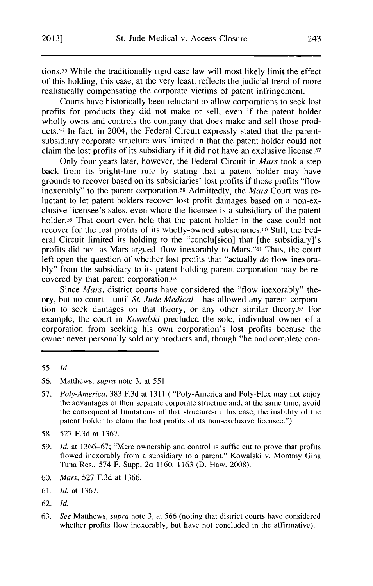tions.55 While the traditionally rigid case law will most likely limit the effect of this holding, this case, at the very least, reflects the judicial trend of more realistically compensating the corporate victims of patent infringement.

Courts have historically been reluctant to allow corporations to seek lost profits for products they **did** not make or sell, even if the patent holder wholly owns and controls the company that does make and sell those products.<sup>56</sup> In fact, in 2004, the Federal Circuit expressly stated that the parentsubsidiary corporate structure was limited in that the patent holder could not claim the lost profits of its subsidiary **if** it did not have an exclusive license.57

Only four years later, however, the Federal Circuit in *Mars* took a step back from its bright-line rule **by** stating that a patent holder may have grounds to recover based on its subsidiaries' lost profits if those profits "flow inexorably" to the parent corporation.58 Admittedly, the *Mars* Court was reluctant to let patent holders recover lost profit damages based on a non-exclusive licensee's sales, even where the licensee is a subsidiary of the patent holder.<sup>59</sup> That court even held that the patent holder in the case could not recover for the lost profits of its wholly-owned subsidiaries.60 Still, the Federal Circuit limited its holding to the "conclu[sion] that [the subsidiary]'s profits did not-as Mars argued-flow inexorably to Mars."61 Thus, the court left open the question of whether lost profits that "actually *do* flow inexora**bly"** from the subsidiary to its patent-holding parent corporation may be recovered **by** that parent corporation.62

Since *Mars,* district courts have considered the "flow inexorably" theory, but no court—until *St. Jude Medical*—has allowed any parent corporation to seek damages on that theory, or any other similar theory.63 For example, the court in *Kowalski* precluded the sole, individual owner of a corporation from seeking his own corporation's lost profits because the owner never personally sold any products and, though "he had complete con-

- **60.** *Mars,* **527 F.3d** at **1366.**
- **61.** *Id.* at **1367.**
- **62.** *Id.*
- **63.** *See Matthews, supra* note **3,** at **566** (noting that district courts have considered whether profits flow inexorably, but have not concluded in the affirmative).

**<sup>55.</sup>** *Id.*

**<sup>56.</sup>** Matthews, *supra* note **3,** at **551.**

**<sup>57.</sup>** *Poly-America,* **383 F.3d** at **1311 (** "Poly-America and Poly-Flex may not enjoy the advantages of their separate corporate structure and, at the same time, avoid the consequential limitations of that structure-in this case, the inability of the patent holder to claim the lost profits of its non-exclusive licensee.").

**<sup>58. 527</sup> F.3d** at **1367.**

**<sup>59.</sup>** *Id.* at **1366-67;** "Mere ownership and control is sufficient to prove that profits flowed inexorably from a subsidiary to a parent." Kowalski v. Mommy Gina Tuna Res., 574 F. Supp. **2d 1160, 1163 (D.** Haw. **2008).**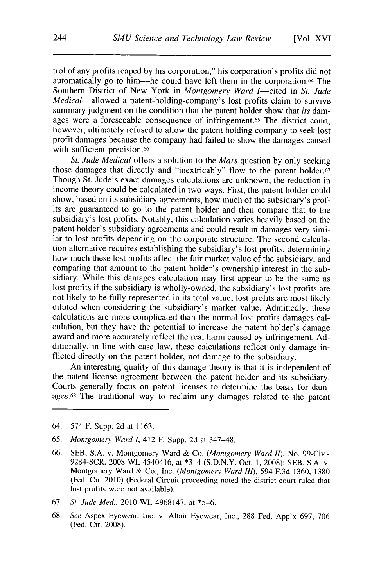trol of any profits reaped **by** his corporation," his corporation's profits did not automatically go to him--he could have left them in the corporation.64 The Southern District of New York in *Montgomery Ward I*—cited in *St. Jude Medical-allowed* a patent-holding-company's lost profits claim **to survive** summary judgment on the condition that the patent holder show that *its* damages were a foreseeable consequence of infringement.65 The district court, however, ultimately refused to allow the patent holding company to seek lost profit damages because the company had failed to show the damages caused with sufficient precision.<sup>66</sup>

*St. Jude Medical* offers a solution to the *Mars* question **by** only seeking those damages that directly and "inextricably" flow to the patent holder.<sup>67</sup> Though St. Jude's exact damages calculations are unknown, the reduction in income theory could be calculated in two ways. First, the patent holder could show, based on its subsidiary agreements, how much of the subsidiary's profits are guaranteed to go to the patent holder and then compare that to the subsidiary's lost profits. Notably, this calculation varies heavily based on the patent holder's subsidiary agreements and could result in damages very similar to lost profits depending on the corporate structure. The second calculation alternative requires establishing the subsidiary's lost profits, determining how much these lost profits affect the fair market value of the subsidiary, and comparing that amount to the patent holder's ownership interest in the subsidiary. While this damages calculation may first appear to be the same as lost profits if the subsidiary is wholly-owned, the subsidiary's lost profits are not likely to be fully represented in its total value; lost profits are most likely diluted when considering the subsidiary's market value. Admittedly, these calculations are more complicated than the normal lost profits damages calculation, but they have the potential to increase the patent holder's damage award and more accurately reflect the real harm caused **by** infringement. **Ad**ditionally, in line with case law, these calculations reflect only damage inflicted directly on the patent holder, not damage to the subsidiary.

An interesting quality of this damage theory is that it is independent of the patent license agreement between the patent holder and its subsidiary. Courts generally focus on patent licenses to determine the basis for damages. 68 The traditional way to reclaim any damages related to the patent

- 64. 574 F. Supp. **2d** at **1163.**
- *65. Montgomery Ward 1,* 412 F. Supp. **2d** at 347-48.
- **66. SEB, S.A.** v. Montgomery Ward **&** *Co. (Montgomery Ward II),* No. 99-Civ.- 9284-SCR, **2008** WL *4540416,* **at** \*3-4 **(S.D.N.Y.** Oct. **1, 2008); SEB, S.A.** v. Montgomery Ward **&** Co., Inc. *(Montgomery Ward III), 594* **F.3d 1360, 1380** (Fed. Cir. 2010) (Federal Circuit proceeding noted the district court ruled that lost profits were not available).
- **67.** *St.* Jude Med., 2010 WL 4968147, at **\*5-6.**
- **68.** See Aspex Eyewear, Inc. v. Altair Eyewear, Inc., **288** Fed. App'x **697, 706** (Fed. Cir. **2008).**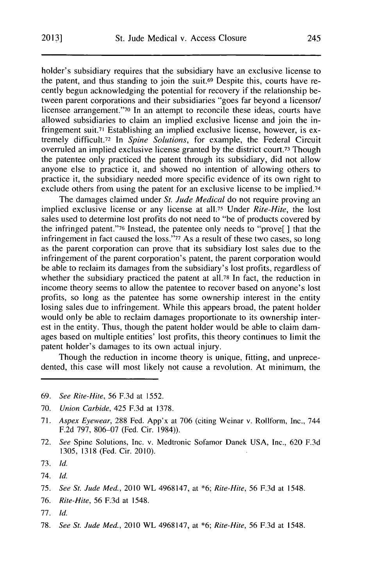holder's subsidiary requires that the subsidiary have an exclusive license to the patent, and thus standing to join the suit.69 Despite this, courts have recently begun acknowledging the potential for recovery **if** the relationship between parent corporations and their subsidiaries "goes far beyond a licensor/ licensee arrangement."70 In an attempt to reconcile these ideas, courts have allowed subsidiaries to claim an implied exclusive license and join the infringement suit.7' Establishing an implied exclusive license, however, is extremely **difficult.72** In *Spine Solutions,* for example, the Federal Circuit overruled an implied exclusive license granted **by** the district court. 73 Though the patentee only practiced the patent through its subsidiary, **did** not allow anyone else to practice it, and showed no intention of allowing others to practice it, the subsidiary needed more specific evidence of its own right to exclude others from using the patent for an exclusive license to be implied.74

The damages claimed under *St. Jude Medical* do not require proving an implied exclusive license or any license at all.75 Under *Rite-Hite,* the lost sales used to determine lost profits do not need to "be of products covered **by** the infringed patent."76 Instead, the patentee only needs to "prove[ **]** that the infringement in fact caused the **loss."77** As a result of these two cases, so long as the parent corporation can prove that its subsidiary lost sales due to the infringement of the parent corporation's patent, the parent corporation would be able to reclaim its damages from the subsidiary's lost profits, regardless of whether the subsidiary practiced the patent at all.<sup>78</sup> In fact, the reduction in income theory seems to allow the patentee to recover based on anyone's lost profits, so long as the patentee has some ownership interest in the entity losing sales due to infringement. While this appears broad, the patent holder would only be able to reclaim damages proportionate to its ownership interest in the entity. Thus, though the patent holder would be able to claim damages based on multiple entities' lost profits, this theory continues to limit the patent holder's damages to its own actual injury.

Though the reduction in income theory is unique, fitting, and unprecedented, this case will most likely not cause a revolution. At minimum, the

- **69.** *See Rite-Hite,* **56 F.3d** at **1552.**
- **70.** *Union* Carbide, 425 **F.3d** at **1378.**
- **71.** *Aspex* Eyewear, **288** Fed. App'x at **706** (citing Weinar v. Rollform, Inc., 744 **F.2d 797, 806-07** (Fed. Cir. 1984)).
- **72.** *See* Spine Solutions, Inc. v. Medtronic Sofamor Danek **USA,** Inc., **620 F.3d 1305, 1318** (Fed. Cir. 2010).
- **73.** *Id.*
- *74. Id.*
- **75.** *See St. Jude Med.,* 2010 WL 4968147, at **\*6;** *Rite-Hite,* **56 F.3d** at 1548.
- **76.** Rite-Hite, *56* **F.3d at 1548.**
- **77.** *Id.*
- **78.** *See St. Jude Med.,* 2010 WL 4968147, at **\*6;** *Rite-Hite,* **56 F.3d** at 1548.